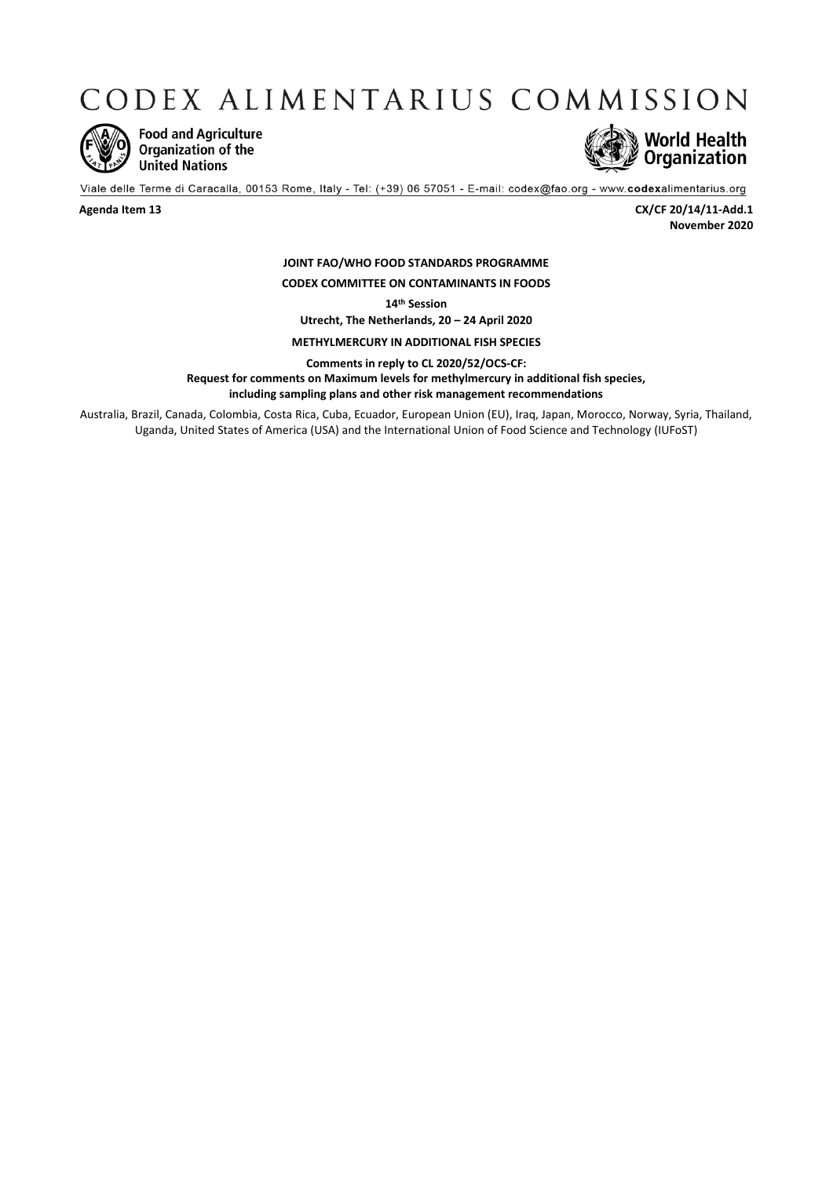CODEX ALIMENTARIUS COMMISSION



**Food and Agriculture** Organization of the **United Nations** 



Viale delle Terme di Caracalla, 00153 Rome, Italy - Tel: (+39) 06 57051 - E-mail: codex@fao.org - www.codexalimentarius.org

**Agenda Item 13 CX/CF 20/14/11-Add.1 November 2020**

## **JOINT FAO/WHO FOOD STANDARDS PROGRAMME CODEX COMMITTEE ON CONTAMINANTS IN FOODS**

**14th Session**

**Utrecht, The Netherlands, 20 – 24 April 2020**

**METHYLMERCURY IN ADDITIONAL FISH SPECIES**

**Comments in reply to CL 2020/52/OCS-CF:**

**Request for comments on Maximum levels for methylmercury in additional fish species,** 

**including sampling plans and other risk management recommendations**

Australia, Brazil, Canada, Colombia, Costa Rica, Cuba, Ecuador, European Union (EU), Iraq, Japan, Morocco, Norway, Syria, Thailand, Uganda, United States of America (USA) and the [International Union of Food Science and Technology](http://www.fao.org/fao-who-codexalimentarius/about-codex/observers/detail/en/c/14671/) (IUFoST)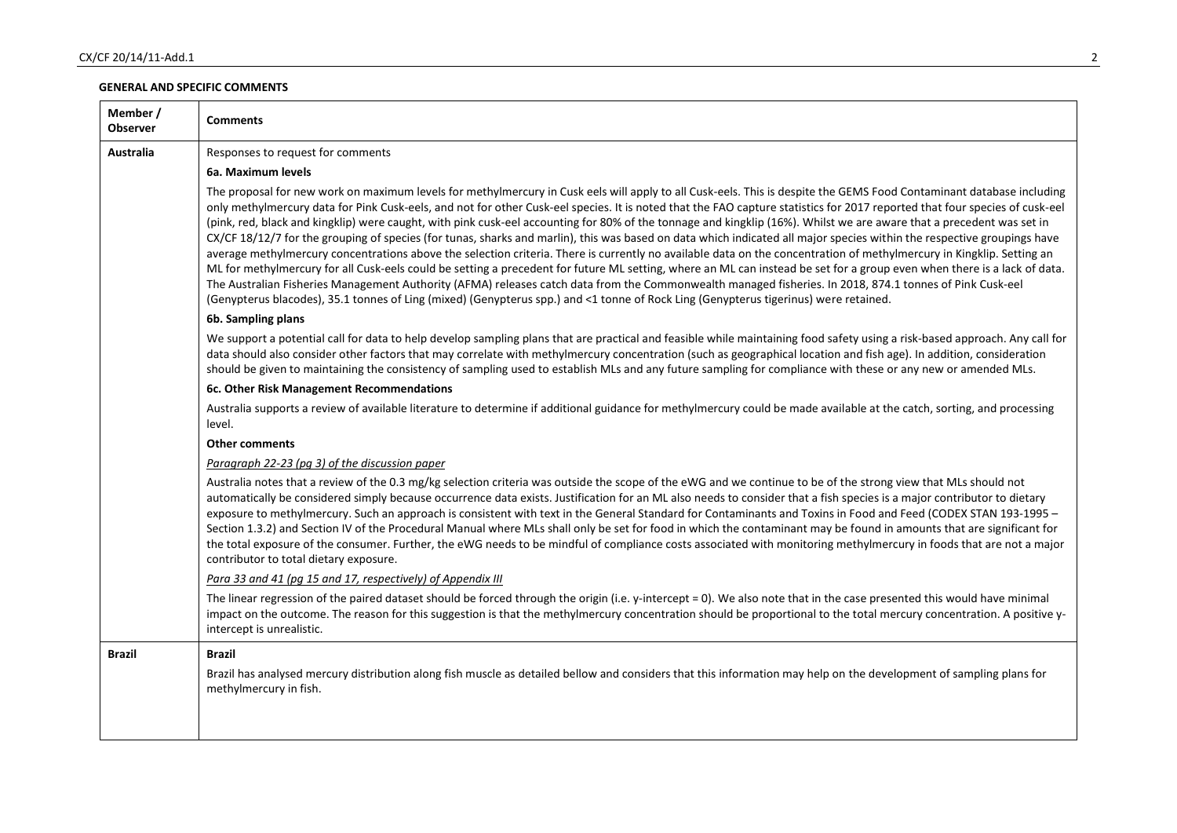## **GENERAL AND SPECIFIC COMMENTS**

| Member /<br>Observer | <b>Comments</b>                                                                                                                                                                                                                                                                                                                                                                                                                                                                                                                                                                                                                                                                                                                                                                                                                                                                                                                                                                                                                                                                                                                                                                                                                                                                                                                                                  |
|----------------------|------------------------------------------------------------------------------------------------------------------------------------------------------------------------------------------------------------------------------------------------------------------------------------------------------------------------------------------------------------------------------------------------------------------------------------------------------------------------------------------------------------------------------------------------------------------------------------------------------------------------------------------------------------------------------------------------------------------------------------------------------------------------------------------------------------------------------------------------------------------------------------------------------------------------------------------------------------------------------------------------------------------------------------------------------------------------------------------------------------------------------------------------------------------------------------------------------------------------------------------------------------------------------------------------------------------------------------------------------------------|
| <b>Australia</b>     | Responses to request for comments                                                                                                                                                                                                                                                                                                                                                                                                                                                                                                                                                                                                                                                                                                                                                                                                                                                                                                                                                                                                                                                                                                                                                                                                                                                                                                                                |
|                      | 6a. Maximum levels                                                                                                                                                                                                                                                                                                                                                                                                                                                                                                                                                                                                                                                                                                                                                                                                                                                                                                                                                                                                                                                                                                                                                                                                                                                                                                                                               |
|                      | The proposal for new work on maximum levels for methylmercury in Cusk eels will apply to all Cusk-eels. This is despite the GEMS Food Contaminant database including<br>only methylmercury data for Pink Cusk-eels, and not for other Cusk-eel species. It is noted that the FAO capture statistics for 2017 reported that four species of cusk-eel<br>(pink, red, black and kingklip) were caught, with pink cusk-eel accounting for 80% of the tonnage and kingklip (16%). Whilst we are aware that a precedent was set in<br>CX/CF 18/12/7 for the grouping of species (for tunas, sharks and marlin), this was based on data which indicated all major species within the respective groupings have<br>average methylmercury concentrations above the selection criteria. There is currently no available data on the concentration of methylmercury in Kingklip. Setting an<br>ML for methylmercury for all Cusk-eels could be setting a precedent for future ML setting, where an ML can instead be set for a group even when there is a lack of data.<br>The Australian Fisheries Management Authority (AFMA) releases catch data from the Commonwealth managed fisheries. In 2018, 874.1 tonnes of Pink Cusk-eel<br>(Genypterus blacodes), 35.1 tonnes of Ling (mixed) (Genypterus spp.) and <1 tonne of Rock Ling (Genypterus tigerinus) were retained. |
|                      | 6b. Sampling plans                                                                                                                                                                                                                                                                                                                                                                                                                                                                                                                                                                                                                                                                                                                                                                                                                                                                                                                                                                                                                                                                                                                                                                                                                                                                                                                                               |
|                      | We support a potential call for data to help develop sampling plans that are practical and feasible while maintaining food safety using a risk-based approach. Any call for<br>data should also consider other factors that may correlate with methylmercury concentration (such as geographical location and fish age). In addition, consideration<br>should be given to maintaining the consistency of sampling used to establish MLs and any future sampling for compliance with these or any new or amended MLs.                                                                                                                                                                                                                                                                                                                                                                                                                                                                                                                                                                                                                                                                                                                                                                                                                                             |
|                      | 6c. Other Risk Management Recommendations                                                                                                                                                                                                                                                                                                                                                                                                                                                                                                                                                                                                                                                                                                                                                                                                                                                                                                                                                                                                                                                                                                                                                                                                                                                                                                                        |
|                      | Australia supports a review of available literature to determine if additional guidance for methylmercury could be made available at the catch, sorting, and processing<br>level.                                                                                                                                                                                                                                                                                                                                                                                                                                                                                                                                                                                                                                                                                                                                                                                                                                                                                                                                                                                                                                                                                                                                                                                |
|                      | <b>Other comments</b>                                                                                                                                                                                                                                                                                                                                                                                                                                                                                                                                                                                                                                                                                                                                                                                                                                                                                                                                                                                                                                                                                                                                                                                                                                                                                                                                            |
|                      | Paragraph 22-23 (pg 3) of the discussion paper                                                                                                                                                                                                                                                                                                                                                                                                                                                                                                                                                                                                                                                                                                                                                                                                                                                                                                                                                                                                                                                                                                                                                                                                                                                                                                                   |
|                      | Australia notes that a review of the 0.3 mg/kg selection criteria was outside the scope of the eWG and we continue to be of the strong view that MLs should not<br>automatically be considered simply because occurrence data exists. Justification for an ML also needs to consider that a fish species is a major contributor to dietary<br>exposure to methylmercury. Such an approach is consistent with text in the General Standard for Contaminants and Toxins in Food and Feed (CODEX STAN 193-1995 -<br>Section 1.3.2) and Section IV of the Procedural Manual where MLs shall only be set for food in which the contaminant may be found in amounts that are significant for<br>the total exposure of the consumer. Further, the eWG needs to be mindful of compliance costs associated with monitoring methylmercury in foods that are not a major<br>contributor to total dietary exposure.                                                                                                                                                                                                                                                                                                                                                                                                                                                          |
|                      | Para 33 and 41 (pg 15 and 17, respectively) of Appendix III                                                                                                                                                                                                                                                                                                                                                                                                                                                                                                                                                                                                                                                                                                                                                                                                                                                                                                                                                                                                                                                                                                                                                                                                                                                                                                      |
|                      | The linear regression of the paired dataset should be forced through the origin (i.e. y-intercept = 0). We also note that in the case presented this would have minimal<br>impact on the outcome. The reason for this suggestion is that the methylmercury concentration should be proportional to the total mercury concentration. A positive y-<br>intercept is unrealistic.                                                                                                                                                                                                                                                                                                                                                                                                                                                                                                                                                                                                                                                                                                                                                                                                                                                                                                                                                                                   |
| <b>Brazil</b>        | <b>Brazil</b>                                                                                                                                                                                                                                                                                                                                                                                                                                                                                                                                                                                                                                                                                                                                                                                                                                                                                                                                                                                                                                                                                                                                                                                                                                                                                                                                                    |
|                      | Brazil has analysed mercury distribution along fish muscle as detailed bellow and considers that this information may help on the development of sampling plans for<br>methylmercury in fish.                                                                                                                                                                                                                                                                                                                                                                                                                                                                                                                                                                                                                                                                                                                                                                                                                                                                                                                                                                                                                                                                                                                                                                    |
|                      |                                                                                                                                                                                                                                                                                                                                                                                                                                                                                                                                                                                                                                                                                                                                                                                                                                                                                                                                                                                                                                                                                                                                                                                                                                                                                                                                                                  |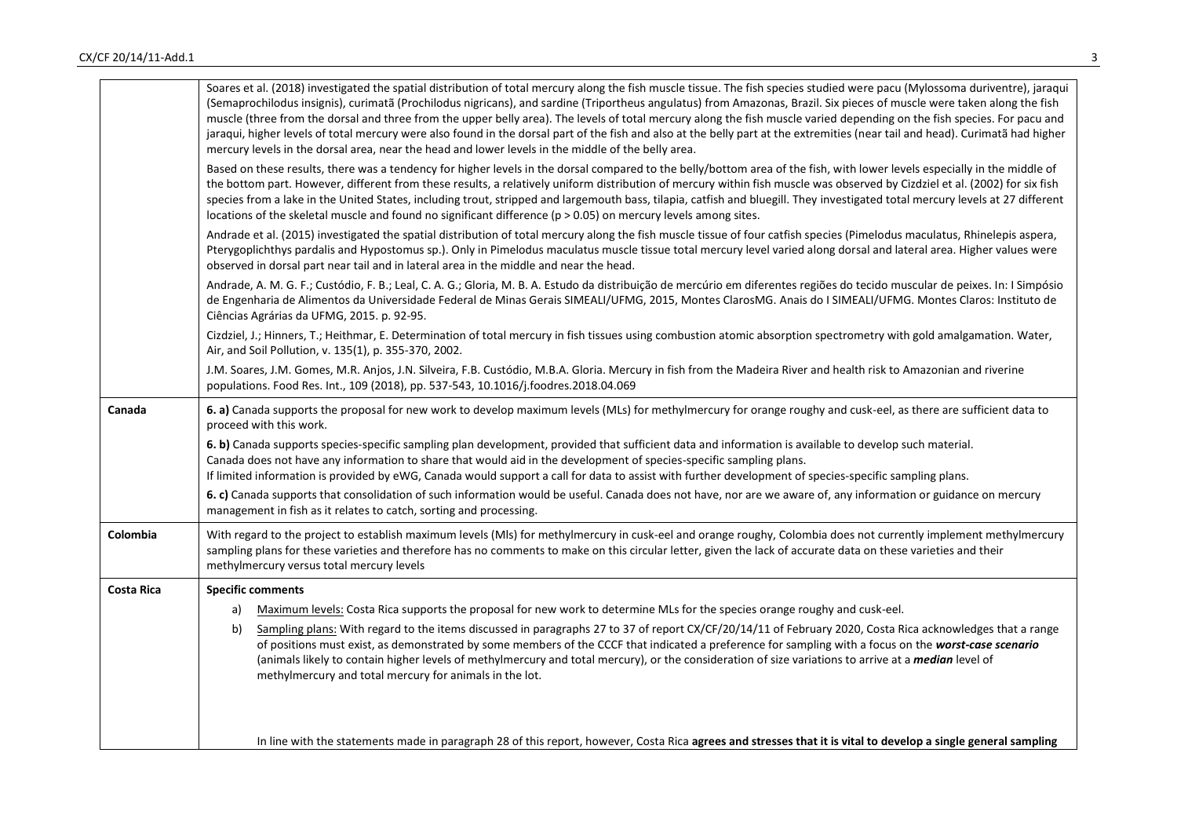|                   | Soares et al. (2018) investigated the spatial distribution of total mercury along the fish muscle tissue. The fish species studied were pacu (Mylossoma duriventre), jaraqui<br>(Semaprochilodus insignis), curimatã (Prochilodus nigricans), and sardine (Triportheus angulatus) from Amazonas, Brazil. Six pieces of muscle were taken along the fish<br>muscle (three from the dorsal and three from the upper belly area). The levels of total mercury along the fish muscle varied depending on the fish species. For pacu and<br>jaraqui, higher levels of total mercury were also found in the dorsal part of the fish and also at the belly part at the extremities (near tail and head). Curimatã had higher<br>mercury levels in the dorsal area, near the head and lower levels in the middle of the belly area. |
|-------------------|-----------------------------------------------------------------------------------------------------------------------------------------------------------------------------------------------------------------------------------------------------------------------------------------------------------------------------------------------------------------------------------------------------------------------------------------------------------------------------------------------------------------------------------------------------------------------------------------------------------------------------------------------------------------------------------------------------------------------------------------------------------------------------------------------------------------------------|
|                   | Based on these results, there was a tendency for higher levels in the dorsal compared to the belly/bottom area of the fish, with lower levels especially in the middle of<br>the bottom part. However, different from these results, a relatively uniform distribution of mercury within fish muscle was observed by Cizdziel et al. (2002) for six fish<br>species from a lake in the United States, including trout, stripped and largemouth bass, tilapia, catfish and bluegill. They investigated total mercury levels at 27 different<br>locations of the skeletal muscle and found no significant difference ( $p > 0.05$ ) on mercury levels among sites.                                                                                                                                                            |
|                   | Andrade et al. (2015) investigated the spatial distribution of total mercury along the fish muscle tissue of four catfish species (Pimelodus maculatus, Rhinelepis aspera,<br>Pterygoplichthys pardalis and Hypostomus sp.). Only in Pimelodus maculatus muscle tissue total mercury level varied along dorsal and lateral area. Higher values were<br>observed in dorsal part near tail and in lateral area in the middle and near the head.                                                                                                                                                                                                                                                                                                                                                                               |
|                   | Andrade, A. M. G. F.; Custódio, F. B.; Leal, C. A. G.; Gloria, M. B. A. Estudo da distribuição de mercúrio em diferentes regiões do tecido muscular de peixes. In: I Simpósio<br>de Engenharia de Alimentos da Universidade Federal de Minas Gerais SIMEALI/UFMG, 2015, Montes ClarosMG. Anais do I SIMEALI/UFMG. Montes Claros: Instituto de<br>Ciências Agrárias da UFMG, 2015. p. 92-95.                                                                                                                                                                                                                                                                                                                                                                                                                                 |
|                   | Cizdziel, J.; Hinners, T.; Heithmar, E. Determination of total mercury in fish tissues using combustion atomic absorption spectrometry with gold amalgamation. Water,<br>Air, and Soil Pollution, v. 135(1), p. 355-370, 2002.                                                                                                                                                                                                                                                                                                                                                                                                                                                                                                                                                                                              |
|                   | J.M. Soares, J.M. Gomes, M.R. Anjos, J.N. Silveira, F.B. Custódio, M.B.A. Gloria. Mercury in fish from the Madeira River and health risk to Amazonian and riverine<br>populations. Food Res. Int., 109 (2018), pp. 537-543, 10.1016/j.foodres.2018.04.069                                                                                                                                                                                                                                                                                                                                                                                                                                                                                                                                                                   |
| Canada            | 6. a) Canada supports the proposal for new work to develop maximum levels (MLs) for methylmercury for orange roughy and cusk-eel, as there are sufficient data to<br>proceed with this work.                                                                                                                                                                                                                                                                                                                                                                                                                                                                                                                                                                                                                                |
|                   | 6. b) Canada supports species-specific sampling plan development, provided that sufficient data and information is available to develop such material.<br>Canada does not have any information to share that would aid in the development of species-specific sampling plans.<br>If limited information is provided by eWG, Canada would support a call for data to assist with further development of species-specific sampling plans.                                                                                                                                                                                                                                                                                                                                                                                     |
|                   | 6. c) Canada supports that consolidation of such information would be useful. Canada does not have, nor are we aware of, any information or guidance on mercury<br>management in fish as it relates to catch, sorting and processing.                                                                                                                                                                                                                                                                                                                                                                                                                                                                                                                                                                                       |
| Colombia          | With regard to the project to establish maximum levels (MIs) for methylmercury in cusk-eel and orange roughy, Colombia does not currently implement methylmercury<br>sampling plans for these varieties and therefore has no comments to make on this circular letter, given the lack of accurate data on these varieties and their<br>methylmercury versus total mercury levels                                                                                                                                                                                                                                                                                                                                                                                                                                            |
| <b>Costa Rica</b> | <b>Specific comments</b>                                                                                                                                                                                                                                                                                                                                                                                                                                                                                                                                                                                                                                                                                                                                                                                                    |
|                   | Maximum levels: Costa Rica supports the proposal for new work to determine MLs for the species orange roughy and cusk-eel.<br>a)<br>Sampling plans: With regard to the items discussed in paragraphs 27 to 37 of report CX/CF/20/14/11 of February 2020, Costa Rica acknowledges that a range<br>b)                                                                                                                                                                                                                                                                                                                                                                                                                                                                                                                         |
|                   | of positions must exist, as demonstrated by some members of the CCCF that indicated a preference for sampling with a focus on the worst-case scenario<br>(animals likely to contain higher levels of methylmercury and total mercury), or the consideration of size variations to arrive at a <i>median</i> level of<br>methylmercury and total mercury for animals in the lot.                                                                                                                                                                                                                                                                                                                                                                                                                                             |
|                   | In line with the statements made in paragraph 28 of this report, however, Costa Rica agrees and stresses that it is vital to develop a single general sampling                                                                                                                                                                                                                                                                                                                                                                                                                                                                                                                                                                                                                                                              |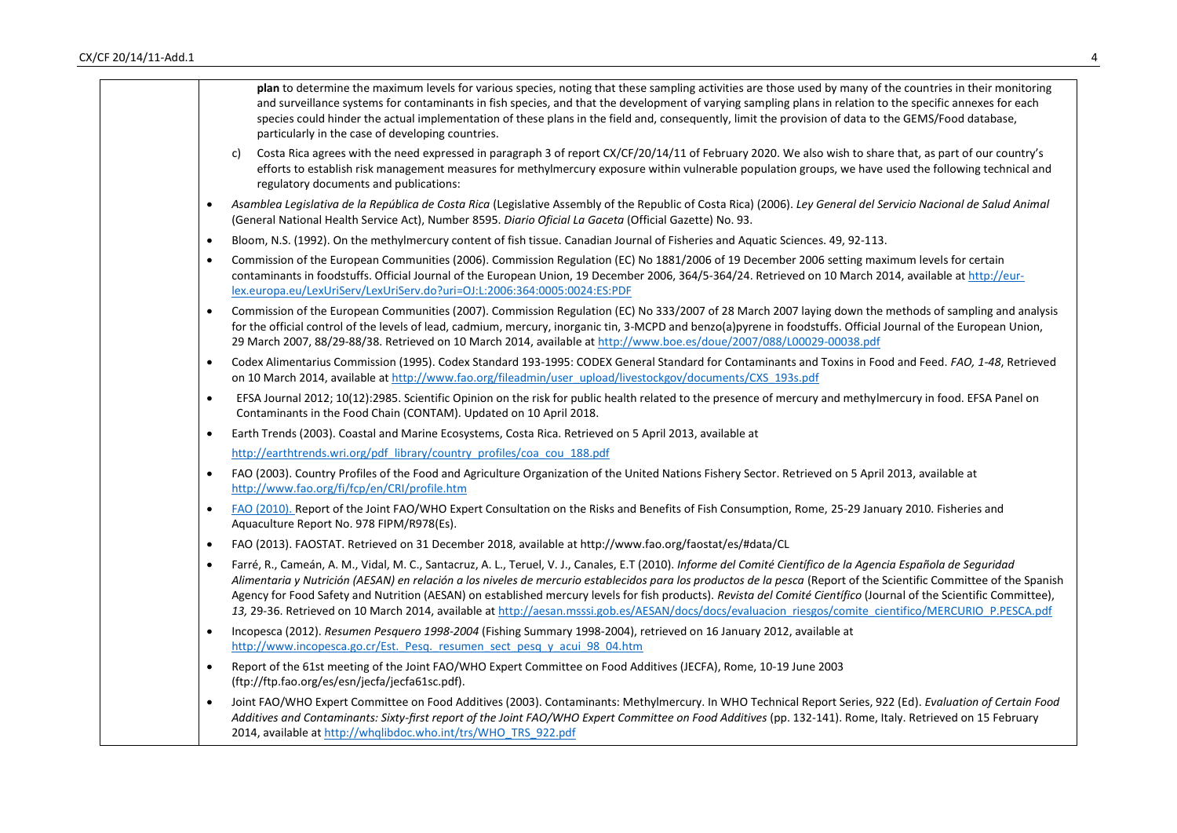| plan to determine the maximum levels for various species, noting that these sampling activities are those used by many of the countries in their monitoring<br>and surveillance systems for contaminants in fish species, and that the development of varying sampling plans in relation to the specific annexes for each<br>species could hinder the actual implementation of these plans in the field and, consequently, limit the provision of data to the GEMS/Food database,<br>particularly in the case of developing countries.                                                                                                                                                 |
|----------------------------------------------------------------------------------------------------------------------------------------------------------------------------------------------------------------------------------------------------------------------------------------------------------------------------------------------------------------------------------------------------------------------------------------------------------------------------------------------------------------------------------------------------------------------------------------------------------------------------------------------------------------------------------------|
| Costa Rica agrees with the need expressed in paragraph 3 of report CX/CF/20/14/11 of February 2020. We also wish to share that, as part of our country's<br>C)<br>efforts to establish risk management measures for methylmercury exposure within vulnerable population groups, we have used the following technical and<br>regulatory documents and publications:                                                                                                                                                                                                                                                                                                                     |
| Asamblea Legislativa de la República de Costa Rica (Legislative Assembly of the Republic of Costa Rica) (2006). Ley General del Servicio Nacional de Salud Animal<br>$\bullet$<br>(General National Health Service Act), Number 8595. Diario Oficial La Gaceta (Official Gazette) No. 93.                                                                                                                                                                                                                                                                                                                                                                                              |
| Bloom, N.S. (1992). On the methylmercury content of fish tissue. Canadian Journal of Fisheries and Aquatic Sciences. 49, 92-113.<br>$\bullet$                                                                                                                                                                                                                                                                                                                                                                                                                                                                                                                                          |
| Commission of the European Communities (2006). Commission Regulation (EC) No 1881/2006 of 19 December 2006 setting maximum levels for certain<br>$\bullet$<br>contaminants in foodstuffs. Official Journal of the European Union, 19 December 2006, 364/5-364/24. Retrieved on 10 March 2014, available at http://eur-<br>lex.europa.eu/LexUriServ/LexUriServ.do?uri=OJ:L:2006:364:0005:0024:ES:PDF                                                                                                                                                                                                                                                                                    |
| Commission of the European Communities (2007). Commission Regulation (EC) No 333/2007 of 28 March 2007 laying down the methods of sampling and analysis<br>$\bullet$<br>for the official control of the levels of lead, cadmium, mercury, inorganic tin, 3-MCPD and benzo(a)pyrene in foodstuffs. Official Journal of the European Union,<br>29 March 2007, 88/29-88/38. Retrieved on 10 March 2014, available at http://www.boe.es/doue/2007/088/L00029-00038.pdf                                                                                                                                                                                                                     |
| Codex Alimentarius Commission (1995). Codex Standard 193-1995: CODEX General Standard for Contaminants and Toxins in Food and Feed. FAO, 1-48, Retrieved<br>$\bullet$<br>on 10 March 2014, available at http://www.fao.org/fileadmin/user_upload/livestockgov/documents/CXS_193s.pdf                                                                                                                                                                                                                                                                                                                                                                                                   |
| EFSA Journal 2012; 10(12):2985. Scientific Opinion on the risk for public health related to the presence of mercury and methylmercury in food. EFSA Panel on<br>$\bullet$<br>Contaminants in the Food Chain (CONTAM). Updated on 10 April 2018.                                                                                                                                                                                                                                                                                                                                                                                                                                        |
| Earth Trends (2003). Coastal and Marine Ecosystems, Costa Rica. Retrieved on 5 April 2013, available at<br>$\bullet$                                                                                                                                                                                                                                                                                                                                                                                                                                                                                                                                                                   |
| http://earthtrends.wri.org/pdf library/country profiles/coa cou 188.pdf                                                                                                                                                                                                                                                                                                                                                                                                                                                                                                                                                                                                                |
| FAO (2003). Country Profiles of the Food and Agriculture Organization of the United Nations Fishery Sector. Retrieved on 5 April 2013, available at<br>$\bullet$<br>http://www.fao.org/fi/fcp/en/CRI/profile.htm                                                                                                                                                                                                                                                                                                                                                                                                                                                                       |
| FAO (2010). Report of the Joint FAO/WHO Expert Consultation on the Risks and Benefits of Fish Consumption, Rome, 25-29 January 2010. Fisheries and<br>$\bullet$<br>Aquaculture Report No. 978 FIPM/R978(Es).                                                                                                                                                                                                                                                                                                                                                                                                                                                                           |
| FAO (2013). FAOSTAT. Retrieved on 31 December 2018, available at http://www.fao.org/faostat/es/#data/CL<br>$\bullet$                                                                                                                                                                                                                                                                                                                                                                                                                                                                                                                                                                   |
| Farré, R., Cameán, A. M., Vidal, M. C., Santacruz, A. L., Teruel, V. J., Canales, E.T (2010). Informe del Comité Científico de la Agencia Española de Seguridad<br>$\bullet$<br>Alimentaria y Nutrición (AESAN) en relación a los niveles de mercurio establecidos para los productos de la pesca (Report of the Scientific Committee of the Spanish<br>Agency for Food Safety and Nutrition (AESAN) on established mercury levels for fish products). Revista del Comité Científico (Journal of the Scientific Committee),<br>13, 29-36. Retrieved on 10 March 2014, available at http://aesan.msssi.gob.es/AESAN/docs/docs/evaluacion riesgos/comite cientifico/MERCURIO P.PESCA.pdf |
| Incopesca (2012). Resumen Pesquero 1998-2004 (Fishing Summary 1998-2004), retrieved on 16 January 2012, available at<br>http://www.incopesca.go.cr/Est. Pesq. resumen sect pesq y acui 98 04.htm                                                                                                                                                                                                                                                                                                                                                                                                                                                                                       |
| Report of the 61st meeting of the Joint FAO/WHO Expert Committee on Food Additives (JECFA), Rome, 10-19 June 2003<br>$\bullet$<br>(ftp://ftp.fao.org/es/esn/jecfa/jecfa61sc.pdf).                                                                                                                                                                                                                                                                                                                                                                                                                                                                                                      |
| Joint FAO/WHO Expert Committee on Food Additives (2003). Contaminants: Methylmercury. In WHO Technical Report Series, 922 (Ed). Evaluation of Certain Food<br>Additives and Contaminants: Sixty-first report of the Joint FAO/WHO Expert Committee on Food Additives (pp. 132-141). Rome, Italy. Retrieved on 15 February<br>2014, available at http://whqlibdoc.who.int/trs/WHO TRS 922.pdf                                                                                                                                                                                                                                                                                           |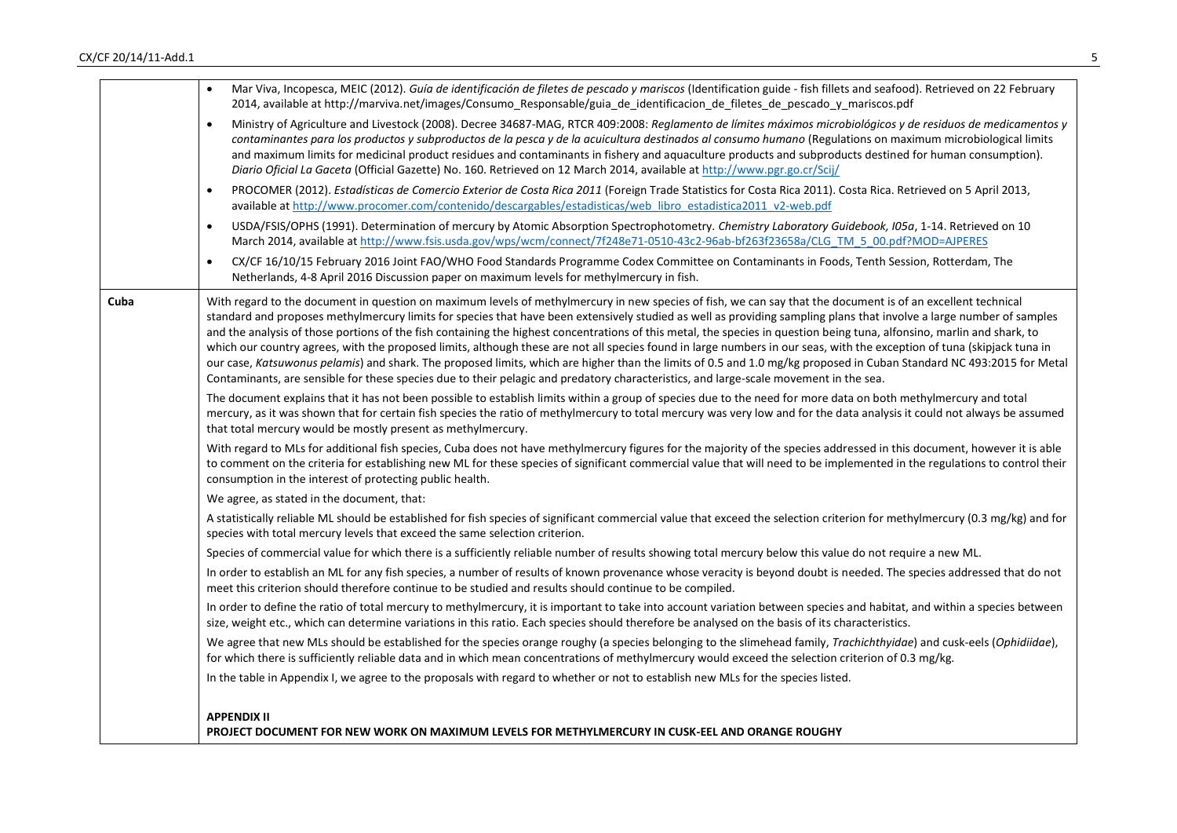|      | Mar Viva, Incopesca, MEIC (2012). Guía de identificación de filetes de pescado y mariscos (Identification guide - fish fillets and seafood). Retrieved on 22 February<br>2014, available at http://marviva.net/images/Consumo_Responsable/guia_de_identificacion_de_filetes_de_pescado_y_mariscos.pdf                                                                                                                                                                                                                                                                                                                                                                                                                                                                                                                                                                                                                                                                                                       |
|------|-------------------------------------------------------------------------------------------------------------------------------------------------------------------------------------------------------------------------------------------------------------------------------------------------------------------------------------------------------------------------------------------------------------------------------------------------------------------------------------------------------------------------------------------------------------------------------------------------------------------------------------------------------------------------------------------------------------------------------------------------------------------------------------------------------------------------------------------------------------------------------------------------------------------------------------------------------------------------------------------------------------|
|      | Ministry of Agriculture and Livestock (2008). Decree 34687-MAG, RTCR 409:2008: Reglamento de límites máximos microbiológicos y de residuos de medicamentos y<br>$\bullet$<br>contaminantes para los productos y subproductos de la pesca y de la acuicultura destinados al consumo humano (Regulations on maximum microbiological limits<br>and maximum limits for medicinal product residues and contaminants in fishery and aquaculture products and subproducts destined for human consumption).<br>Diario Oficial La Gaceta (Official Gazette) No. 160. Retrieved on 12 March 2014, available at http://www.pgr.go.cr/Scij/                                                                                                                                                                                                                                                                                                                                                                             |
|      | PROCOMER (2012). Estadísticas de Comercio Exterior de Costa Rica 2011 (Foreign Trade Statistics for Costa Rica 2011). Costa Rica. Retrieved on 5 April 2013,<br>available at http://www.procomer.com/contenido/descargables/estadisticas/web libro estadistica2011 v2-web.pdf                                                                                                                                                                                                                                                                                                                                                                                                                                                                                                                                                                                                                                                                                                                               |
|      | USDA/FSIS/OPHS (1991). Determination of mercury by Atomic Absorption Spectrophotometry. Chemistry Laboratory Guidebook, IO5a, 1-14. Retrieved on 10<br>$\bullet$<br>March 2014, available at http://www.fsis.usda.gov/wps/wcm/connect/7f248e71-0510-43c2-96ab-bf263f23658a/CLG TM 5 00.pdf?MOD=AJPERES                                                                                                                                                                                                                                                                                                                                                                                                                                                                                                                                                                                                                                                                                                      |
|      | CX/CF 16/10/15 February 2016 Joint FAO/WHO Food Standards Programme Codex Committee on Contaminants in Foods, Tenth Session, Rotterdam, The<br>$\bullet$<br>Netherlands, 4-8 April 2016 Discussion paper on maximum levels for methylmercury in fish.                                                                                                                                                                                                                                                                                                                                                                                                                                                                                                                                                                                                                                                                                                                                                       |
| Cuba | With regard to the document in question on maximum levels of methylmercury in new species of fish, we can say that the document is of an excellent technical<br>standard and proposes methylmercury limits for species that have been extensively studied as well as providing sampling plans that involve a large number of samples<br>and the analysis of those portions of the fish containing the highest concentrations of this metal, the species in question being tuna, alfonsino, marlin and shark, to<br>which our country agrees, with the proposed limits, although these are not all species found in large numbers in our seas, with the exception of tuna (skipjack tuna in<br>our case, Katsuwonus pelamis) and shark. The proposed limits, which are higher than the limits of 0.5 and 1.0 mg/kg proposed in Cuban Standard NC 493:2015 for Metal<br>Contaminants, are sensible for these species due to their pelagic and predatory characteristics, and large-scale movement in the sea. |
|      | The document explains that it has not been possible to establish limits within a group of species due to the need for more data on both methylmercury and total<br>mercury, as it was shown that for certain fish species the ratio of methylmercury to total mercury was very low and for the data analysis it could not always be assumed<br>that total mercury would be mostly present as methylmercury.                                                                                                                                                                                                                                                                                                                                                                                                                                                                                                                                                                                                 |
|      | With regard to MLs for additional fish species, Cuba does not have methylmercury figures for the majority of the species addressed in this document, however it is able<br>to comment on the criteria for establishing new ML for these species of significant commercial value that will need to be implemented in the regulations to control their<br>consumption in the interest of protecting public health.                                                                                                                                                                                                                                                                                                                                                                                                                                                                                                                                                                                            |
|      | We agree, as stated in the document, that:                                                                                                                                                                                                                                                                                                                                                                                                                                                                                                                                                                                                                                                                                                                                                                                                                                                                                                                                                                  |
|      | A statistically reliable ML should be established for fish species of significant commercial value that exceed the selection criterion for methylmercury (0.3 mg/kg) and for<br>species with total mercury levels that exceed the same selection criterion.                                                                                                                                                                                                                                                                                                                                                                                                                                                                                                                                                                                                                                                                                                                                                 |
|      | Species of commercial value for which there is a sufficiently reliable number of results showing total mercury below this value do not require a new ML.                                                                                                                                                                                                                                                                                                                                                                                                                                                                                                                                                                                                                                                                                                                                                                                                                                                    |
|      | In order to establish an ML for any fish species, a number of results of known provenance whose veracity is beyond doubt is needed. The species addressed that do not<br>meet this criterion should therefore continue to be studied and results should continue to be compiled.                                                                                                                                                                                                                                                                                                                                                                                                                                                                                                                                                                                                                                                                                                                            |
|      | In order to define the ratio of total mercury to methylmercury, it is important to take into account variation between species and habitat, and within a species between<br>size, weight etc., which can determine variations in this ratio. Each species should therefore be analysed on the basis of its characteristics.                                                                                                                                                                                                                                                                                                                                                                                                                                                                                                                                                                                                                                                                                 |
|      | We agree that new MLs should be established for the species orange roughy (a species belonging to the slimehead family, Trachichthyidae) and cusk-eels (Ophidiidae),<br>for which there is sufficiently reliable data and in which mean concentrations of methylmercury would exceed the selection criterion of 0.3 mg/kg.                                                                                                                                                                                                                                                                                                                                                                                                                                                                                                                                                                                                                                                                                  |
|      | In the table in Appendix I, we agree to the proposals with regard to whether or not to establish new MLs for the species listed.                                                                                                                                                                                                                                                                                                                                                                                                                                                                                                                                                                                                                                                                                                                                                                                                                                                                            |
|      | <b>APPENDIX II</b>                                                                                                                                                                                                                                                                                                                                                                                                                                                                                                                                                                                                                                                                                                                                                                                                                                                                                                                                                                                          |
|      | PROJECT DOCUMENT FOR NEW WORK ON MAXIMUM LEVELS FOR METHYLMERCURY IN CUSK-EEL AND ORANGE ROUGHY                                                                                                                                                                                                                                                                                                                                                                                                                                                                                                                                                                                                                                                                                                                                                                                                                                                                                                             |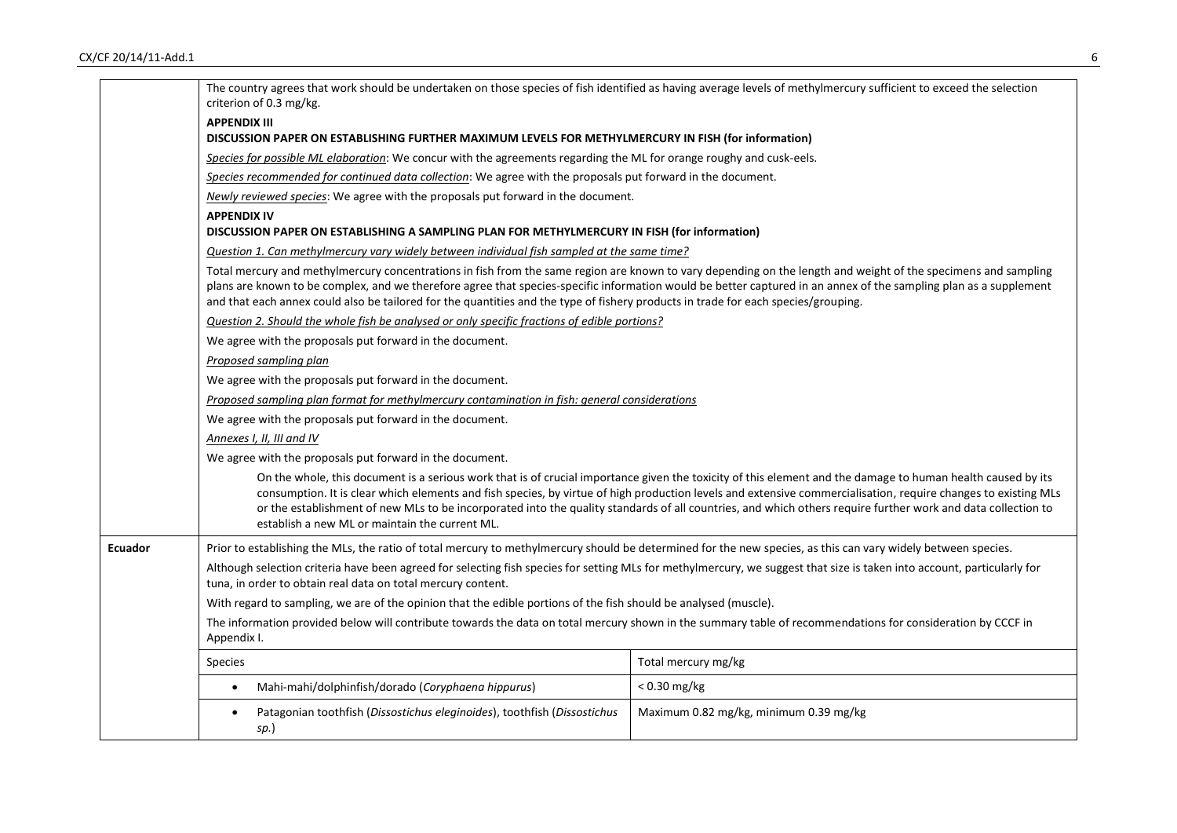|                | The country agrees that work should be undertaken on those species of fish identified as having average levels of methylmercury sufficient to exceed the selection<br>criterion of 0.3 mg/kg.                                           |                                                                                                                                                                                                                                                                                                                                                                                                                                                                                               |
|----------------|-----------------------------------------------------------------------------------------------------------------------------------------------------------------------------------------------------------------------------------------|-----------------------------------------------------------------------------------------------------------------------------------------------------------------------------------------------------------------------------------------------------------------------------------------------------------------------------------------------------------------------------------------------------------------------------------------------------------------------------------------------|
|                | <b>APPENDIX III</b>                                                                                                                                                                                                                     |                                                                                                                                                                                                                                                                                                                                                                                                                                                                                               |
|                | DISCUSSION PAPER ON ESTABLISHING FURTHER MAXIMUM LEVELS FOR METHYLMERCURY IN FISH (for information)                                                                                                                                     |                                                                                                                                                                                                                                                                                                                                                                                                                                                                                               |
|                | Species for possible ML elaboration: We concur with the agreements regarding the ML for orange roughy and cusk-eels.                                                                                                                    |                                                                                                                                                                                                                                                                                                                                                                                                                                                                                               |
|                | Species recommended for continued data collection: We agree with the proposals put forward in the document.                                                                                                                             |                                                                                                                                                                                                                                                                                                                                                                                                                                                                                               |
|                | Newly reviewed species: We agree with the proposals put forward in the document.                                                                                                                                                        |                                                                                                                                                                                                                                                                                                                                                                                                                                                                                               |
|                | <b>APPENDIX IV</b>                                                                                                                                                                                                                      |                                                                                                                                                                                                                                                                                                                                                                                                                                                                                               |
|                | DISCUSSION PAPER ON ESTABLISHING A SAMPLING PLAN FOR METHYLMERCURY IN FISH (for information)                                                                                                                                            |                                                                                                                                                                                                                                                                                                                                                                                                                                                                                               |
|                | Question 1. Can methylmercury vary widely between individual fish sampled at the same time?                                                                                                                                             |                                                                                                                                                                                                                                                                                                                                                                                                                                                                                               |
|                | and that each annex could also be tailored for the quantities and the type of fishery products in trade for each species/grouping.                                                                                                      | Total mercury and methylmercury concentrations in fish from the same region are known to vary depending on the length and weight of the specimens and sampling<br>plans are known to be complex, and we therefore agree that species-specific information would be better captured in an annex of the sampling plan as a supplement                                                                                                                                                           |
|                | Question 2. Should the whole fish be analysed or only specific fractions of edible portions?                                                                                                                                            |                                                                                                                                                                                                                                                                                                                                                                                                                                                                                               |
|                | We agree with the proposals put forward in the document.                                                                                                                                                                                |                                                                                                                                                                                                                                                                                                                                                                                                                                                                                               |
|                | Proposed sampling plan                                                                                                                                                                                                                  |                                                                                                                                                                                                                                                                                                                                                                                                                                                                                               |
|                | We agree with the proposals put forward in the document.                                                                                                                                                                                |                                                                                                                                                                                                                                                                                                                                                                                                                                                                                               |
|                | Proposed sampling plan format for methylmercury contamination in fish: general considerations                                                                                                                                           |                                                                                                                                                                                                                                                                                                                                                                                                                                                                                               |
|                | We agree with the proposals put forward in the document.                                                                                                                                                                                |                                                                                                                                                                                                                                                                                                                                                                                                                                                                                               |
|                | Annexes I, II, III and IV                                                                                                                                                                                                               |                                                                                                                                                                                                                                                                                                                                                                                                                                                                                               |
|                | We agree with the proposals put forward in the document.                                                                                                                                                                                |                                                                                                                                                                                                                                                                                                                                                                                                                                                                                               |
|                | establish a new ML or maintain the current ML.                                                                                                                                                                                          | On the whole, this document is a serious work that is of crucial importance given the toxicity of this element and the damage to human health caused by its<br>consumption. It is clear which elements and fish species, by virtue of high production levels and extensive commercialisation, require changes to existing MLs<br>or the establishment of new MLs to be incorporated into the quality standards of all countries, and which others require further work and data collection to |
| <b>Ecuador</b> | Prior to establishing the MLs, the ratio of total mercury to methylmercury should be determined for the new species, as this can vary widely between species.                                                                           |                                                                                                                                                                                                                                                                                                                                                                                                                                                                                               |
|                | Although selection criteria have been agreed for selecting fish species for setting MLs for methylmercury, we suggest that size is taken into account, particularly for<br>tuna, in order to obtain real data on total mercury content. |                                                                                                                                                                                                                                                                                                                                                                                                                                                                                               |
|                | With regard to sampling, we are of the opinion that the edible portions of the fish should be analysed (muscle).                                                                                                                        |                                                                                                                                                                                                                                                                                                                                                                                                                                                                                               |
|                | The information provided below will contribute towards the data on total mercury shown in the summary table of recommendations for consideration by CCCF in<br>Appendix I.                                                              |                                                                                                                                                                                                                                                                                                                                                                                                                                                                                               |
|                | <b>Species</b>                                                                                                                                                                                                                          | Total mercury mg/kg                                                                                                                                                                                                                                                                                                                                                                                                                                                                           |
|                | Mahi-mahi/dolphinfish/dorado (Coryphaena hippurus)<br>$\bullet$                                                                                                                                                                         | $< 0.30$ mg/kg                                                                                                                                                                                                                                                                                                                                                                                                                                                                                |
|                | Patagonian toothfish (Dissostichus eleginoides), toothfish (Dissostichus<br>$\bullet$<br>sp.)                                                                                                                                           | Maximum 0.82 mg/kg, minimum 0.39 mg/kg                                                                                                                                                                                                                                                                                                                                                                                                                                                        |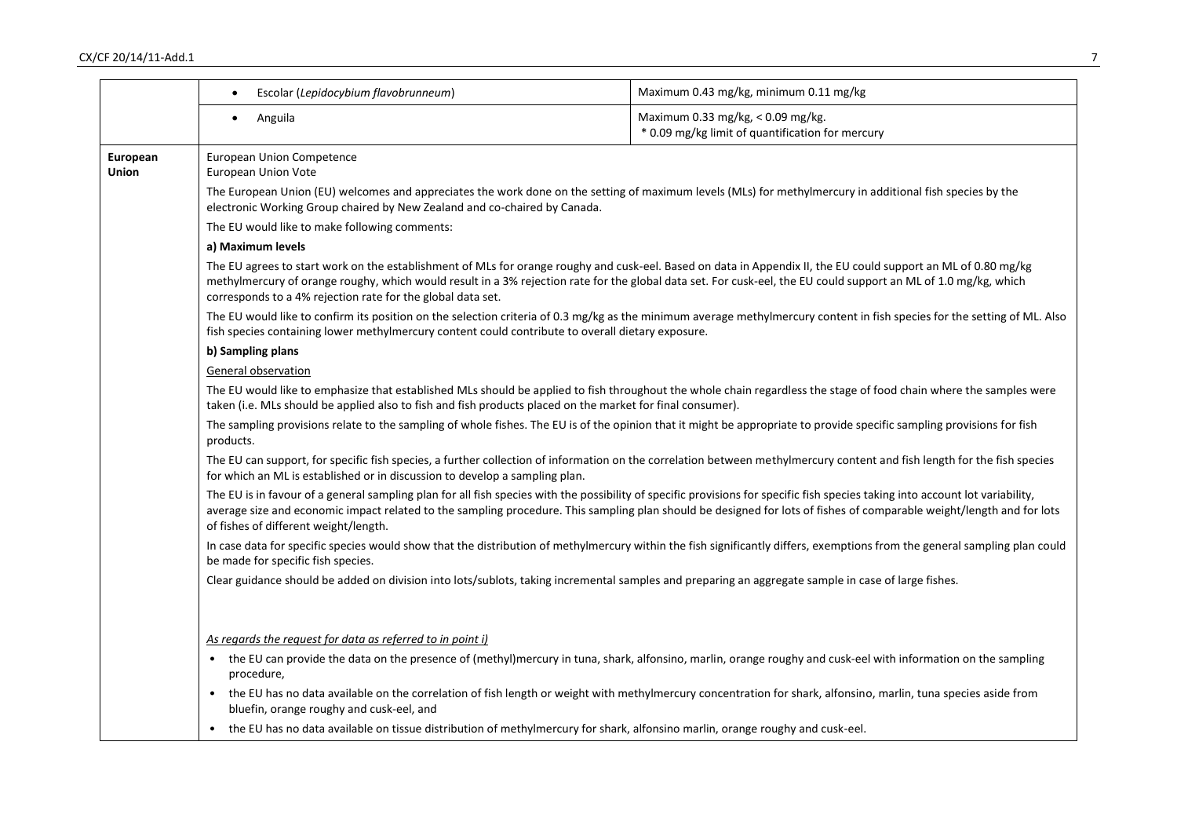|                                                                                                                                                                                                                                                                                | Escolar (Lepidocybium flavobrunneum)<br>$\bullet$                                                                                                                                                                                                                                                                                                                                                | Maximum 0.43 mg/kg, minimum 0.11 mg/kg                                                                                                                                     |  |
|--------------------------------------------------------------------------------------------------------------------------------------------------------------------------------------------------------------------------------------------------------------------------------|--------------------------------------------------------------------------------------------------------------------------------------------------------------------------------------------------------------------------------------------------------------------------------------------------------------------------------------------------------------------------------------------------|----------------------------------------------------------------------------------------------------------------------------------------------------------------------------|--|
|                                                                                                                                                                                                                                                                                | Anguila                                                                                                                                                                                                                                                                                                                                                                                          | Maximum 0.33 mg/kg, < 0.09 mg/kg.<br>* 0.09 mg/kg limit of quantification for mercury                                                                                      |  |
| European<br>Union                                                                                                                                                                                                                                                              | <b>European Union Competence</b><br>European Union Vote                                                                                                                                                                                                                                                                                                                                          |                                                                                                                                                                            |  |
|                                                                                                                                                                                                                                                                                | The European Union (EU) welcomes and appreciates the work done on the setting of maximum levels (MLs) for methylmercury in additional fish species by the<br>electronic Working Group chaired by New Zealand and co-chaired by Canada.                                                                                                                                                           |                                                                                                                                                                            |  |
|                                                                                                                                                                                                                                                                                | The EU would like to make following comments:                                                                                                                                                                                                                                                                                                                                                    |                                                                                                                                                                            |  |
|                                                                                                                                                                                                                                                                                | a) Maximum levels                                                                                                                                                                                                                                                                                                                                                                                |                                                                                                                                                                            |  |
|                                                                                                                                                                                                                                                                                | The EU agrees to start work on the establishment of MLs for orange roughy and cusk-eel. Based on data in Appendix II, the EU could support an ML of 0.80 mg/kg<br>methylmercury of orange roughy, which would result in a 3% rejection rate for the global data set. For cusk-eel, the EU could support an ML of 1.0 mg/kg, which<br>corresponds to a 4% rejection rate for the global data set. |                                                                                                                                                                            |  |
| The EU would like to confirm its position on the selection criteria of 0.3 mg/kg as the minimum average methylmercury content in fish species for the setting of ML. Also<br>fish species containing lower methylmercury content could contribute to overall dietary exposure. |                                                                                                                                                                                                                                                                                                                                                                                                  |                                                                                                                                                                            |  |
|                                                                                                                                                                                                                                                                                | b) Sampling plans                                                                                                                                                                                                                                                                                                                                                                                |                                                                                                                                                                            |  |
|                                                                                                                                                                                                                                                                                | General observation                                                                                                                                                                                                                                                                                                                                                                              |                                                                                                                                                                            |  |
|                                                                                                                                                                                                                                                                                | The EU would like to emphasize that established MLs should be applied to fish throughout the whole chain regardless the stage of food chain where the samples were<br>taken (i.e. MLs should be applied also to fish and fish products placed on the market for final consumer).                                                                                                                 |                                                                                                                                                                            |  |
|                                                                                                                                                                                                                                                                                | The sampling provisions relate to the sampling of whole fishes. The EU is of the opinion that it might be appropriate to provide specific sampling provisions for fish<br>products.                                                                                                                                                                                                              |                                                                                                                                                                            |  |
|                                                                                                                                                                                                                                                                                | The EU can support, for specific fish species, a further collection of information on the correlation between methylmercury content and fish length for the fish species<br>for which an ML is established or in discussion to develop a sampling plan.                                                                                                                                          |                                                                                                                                                                            |  |
|                                                                                                                                                                                                                                                                                | The EU is in favour of a general sampling plan for all fish species with the possibility of specific provisions for specific fish species taking into account lot variability,<br>of fishes of different weight/length.                                                                                                                                                                          | average size and economic impact related to the sampling procedure. This sampling plan should be designed for lots of fishes of comparable weight/length and for lots      |  |
|                                                                                                                                                                                                                                                                                | be made for specific fish species.                                                                                                                                                                                                                                                                                                                                                               | In case data for specific species would show that the distribution of methylmercury within the fish significantly differs, exemptions from the general sampling plan could |  |
|                                                                                                                                                                                                                                                                                | Clear guidance should be added on division into lots/sublots, taking incremental samples and preparing an aggregate sample in case of large fishes.                                                                                                                                                                                                                                              |                                                                                                                                                                            |  |
|                                                                                                                                                                                                                                                                                | As regards the request for data as referred to in point i)                                                                                                                                                                                                                                                                                                                                       |                                                                                                                                                                            |  |
|                                                                                                                                                                                                                                                                                | procedure,                                                                                                                                                                                                                                                                                                                                                                                       | the EU can provide the data on the presence of (methyl)mercury in tuna, shark, alfonsino, marlin, orange roughy and cusk-eel with information on the sampling              |  |
|                                                                                                                                                                                                                                                                                | the EU has no data available on the correlation of fish length or weight with methylmercury concentration for shark, alfonsino, marlin, tuna species aside from<br>$\bullet$<br>bluefin, orange roughy and cusk-eel, and                                                                                                                                                                         |                                                                                                                                                                            |  |
|                                                                                                                                                                                                                                                                                | the EU has no data available on tissue distribution of methylmercury for shark, alfonsino marlin, orange roughy and cusk-eel.                                                                                                                                                                                                                                                                    |                                                                                                                                                                            |  |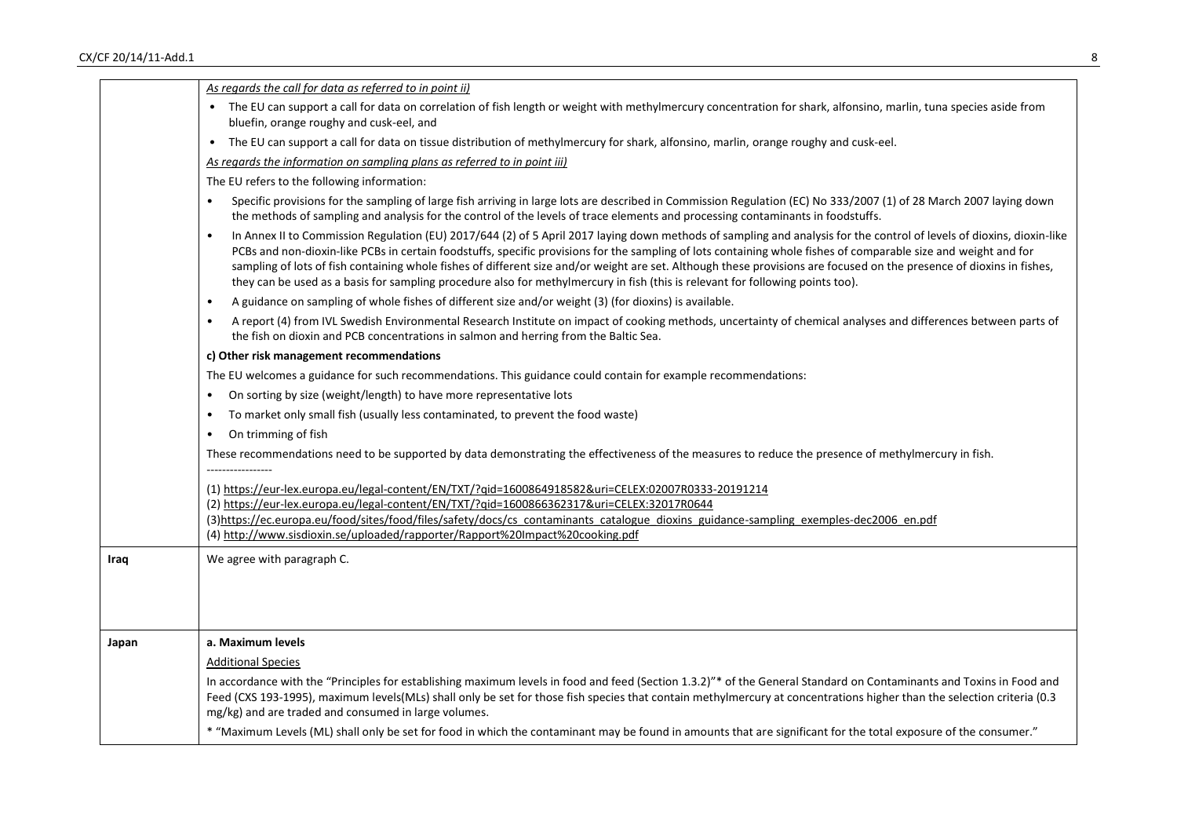|       | As regards the call for data as referred to in point ii)                                                                                                                                                                                                                                                                                                                                                                                                                                                                                                                                                                                            |
|-------|-----------------------------------------------------------------------------------------------------------------------------------------------------------------------------------------------------------------------------------------------------------------------------------------------------------------------------------------------------------------------------------------------------------------------------------------------------------------------------------------------------------------------------------------------------------------------------------------------------------------------------------------------------|
|       | The EU can support a call for data on correlation of fish length or weight with methylmercury concentration for shark, alfonsino, marlin, tuna species aside from<br>bluefin, orange roughy and cusk-eel, and                                                                                                                                                                                                                                                                                                                                                                                                                                       |
|       | The EU can support a call for data on tissue distribution of methylmercury for shark, alfonsino, marlin, orange roughy and cusk-eel.<br>$\bullet$                                                                                                                                                                                                                                                                                                                                                                                                                                                                                                   |
|       | As regards the information on sampling plans as referred to in point iii)                                                                                                                                                                                                                                                                                                                                                                                                                                                                                                                                                                           |
|       | The EU refers to the following information:                                                                                                                                                                                                                                                                                                                                                                                                                                                                                                                                                                                                         |
|       | Specific provisions for the sampling of large fish arriving in large lots are described in Commission Regulation (EC) No 333/2007 (1) of 28 March 2007 laying down<br>the methods of sampling and analysis for the control of the levels of trace elements and processing contaminants in foodstuffs.                                                                                                                                                                                                                                                                                                                                               |
|       | In Annex II to Commission Regulation (EU) 2017/644 (2) of 5 April 2017 laying down methods of sampling and analysis for the control of levels of dioxins, dioxin-like<br>PCBs and non-dioxin-like PCBs in certain foodstuffs, specific provisions for the sampling of lots containing whole fishes of comparable size and weight and for<br>sampling of lots of fish containing whole fishes of different size and/or weight are set. Although these provisions are focused on the presence of dioxins in fishes,<br>they can be used as a basis for sampling procedure also for methylmercury in fish (this is relevant for following points too). |
|       | A guidance on sampling of whole fishes of different size and/or weight (3) (for dioxins) is available.<br>$\bullet$                                                                                                                                                                                                                                                                                                                                                                                                                                                                                                                                 |
|       | A report (4) from IVL Swedish Environmental Research Institute on impact of cooking methods, uncertainty of chemical analyses and differences between parts of<br>$\bullet$<br>the fish on dioxin and PCB concentrations in salmon and herring from the Baltic Sea.                                                                                                                                                                                                                                                                                                                                                                                 |
|       | c) Other risk management recommendations                                                                                                                                                                                                                                                                                                                                                                                                                                                                                                                                                                                                            |
|       | The EU welcomes a guidance for such recommendations. This guidance could contain for example recommendations:                                                                                                                                                                                                                                                                                                                                                                                                                                                                                                                                       |
|       | On sorting by size (weight/length) to have more representative lots                                                                                                                                                                                                                                                                                                                                                                                                                                                                                                                                                                                 |
|       | To market only small fish (usually less contaminated, to prevent the food waste)                                                                                                                                                                                                                                                                                                                                                                                                                                                                                                                                                                    |
|       | On trimming of fish<br>$\bullet$                                                                                                                                                                                                                                                                                                                                                                                                                                                                                                                                                                                                                    |
|       | These recommendations need to be supported by data demonstrating the effectiveness of the measures to reduce the presence of methylmercury in fish.                                                                                                                                                                                                                                                                                                                                                                                                                                                                                                 |
|       | (1) https://eur-lex.europa.eu/legal-content/EN/TXT/?qid=1600864918582&uri=CELEX:02007R0333-20191214                                                                                                                                                                                                                                                                                                                                                                                                                                                                                                                                                 |
|       | (2) https://eur-lex.europa.eu/legal-content/EN/TXT/?qid=1600866362317&uri=CELEX:32017R0644                                                                                                                                                                                                                                                                                                                                                                                                                                                                                                                                                          |
|       | (3)https://ec.europa.eu/food/sites/food/files/safety/docs/cs_contaminants_catalogue_dioxins_guidance-sampling_exemples-dec2006_en.pdf<br>(4) http://www.sisdioxin.se/uploaded/rapporter/Rapport%20Impact%20cooking.pdf                                                                                                                                                                                                                                                                                                                                                                                                                              |
|       |                                                                                                                                                                                                                                                                                                                                                                                                                                                                                                                                                                                                                                                     |
| Iraq  | We agree with paragraph C.                                                                                                                                                                                                                                                                                                                                                                                                                                                                                                                                                                                                                          |
| Japan | a. Maximum levels                                                                                                                                                                                                                                                                                                                                                                                                                                                                                                                                                                                                                                   |
|       | <b>Additional Species</b>                                                                                                                                                                                                                                                                                                                                                                                                                                                                                                                                                                                                                           |
|       | In accordance with the "Principles for establishing maximum levels in food and feed (Section 1.3.2)"* of the General Standard on Contaminants and Toxins in Food and<br>Feed (CXS 193-1995), maximum levels(MLs) shall only be set for those fish species that contain methylmercury at concentrations higher than the selection criteria (0.3<br>mg/kg) and are traded and consumed in large volumes.                                                                                                                                                                                                                                              |
|       | * "Maximum Levels (ML) shall only be set for food in which the contaminant may be found in amounts that are significant for the total exposure of the consumer."                                                                                                                                                                                                                                                                                                                                                                                                                                                                                    |
|       |                                                                                                                                                                                                                                                                                                                                                                                                                                                                                                                                                                                                                                                     |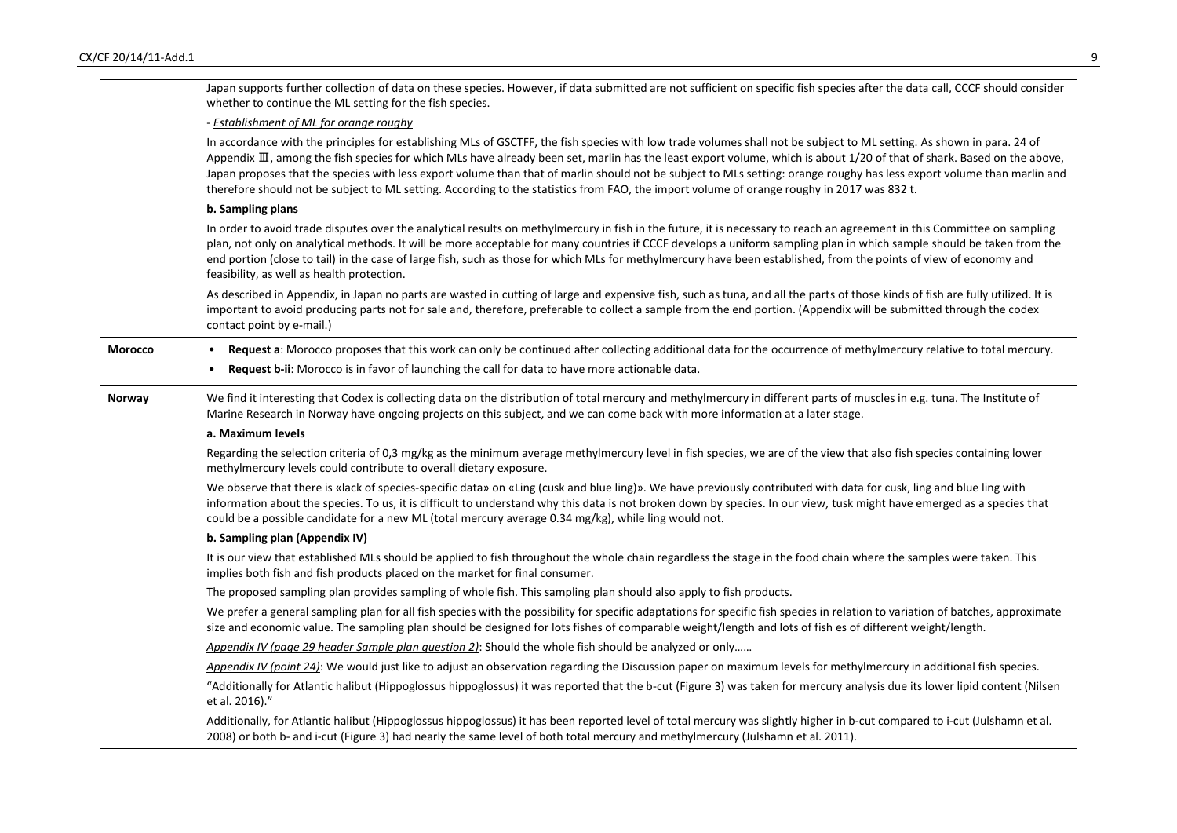|                | Japan supports further collection of data on these species. However, if data submitted are not sufficient on specific fish species after the data call, CCCF should consider<br>whether to continue the ML setting for the fish species.                                                                                                                                                                                                                                                                                                                                                                                                                                 |
|----------------|--------------------------------------------------------------------------------------------------------------------------------------------------------------------------------------------------------------------------------------------------------------------------------------------------------------------------------------------------------------------------------------------------------------------------------------------------------------------------------------------------------------------------------------------------------------------------------------------------------------------------------------------------------------------------|
|                | - <b>Establishment of ML for orange roughy</b>                                                                                                                                                                                                                                                                                                                                                                                                                                                                                                                                                                                                                           |
|                | In accordance with the principles for establishing MLs of GSCTFF, the fish species with low trade volumes shall not be subject to ML setting. As shown in para. 24 of<br>Appendix III, among the fish species for which MLs have already been set, marlin has the least export volume, which is about 1/20 of that of shark. Based on the above,<br>Japan proposes that the species with less export volume than that of marlin should not be subject to MLs setting: orange roughy has less export volume than marlin and<br>therefore should not be subject to ML setting. According to the statistics from FAO, the import volume of orange roughy in 2017 was 832 t. |
|                | b. Sampling plans                                                                                                                                                                                                                                                                                                                                                                                                                                                                                                                                                                                                                                                        |
|                | In order to avoid trade disputes over the analytical results on methylmercury in fish in the future, it is necessary to reach an agreement in this Committee on sampling<br>plan, not only on analytical methods. It will be more acceptable for many countries if CCCF develops a uniform sampling plan in which sample should be taken from the<br>end portion (close to tail) in the case of large fish, such as those for which MLs for methylmercury have been established, from the points of view of economy and<br>feasibility, as well as health protection.                                                                                                    |
|                | As described in Appendix, in Japan no parts are wasted in cutting of large and expensive fish, such as tuna, and all the parts of those kinds of fish are fully utilized. It is<br>important to avoid producing parts not for sale and, therefore, preferable to collect a sample from the end portion. (Appendix will be submitted through the codex<br>contact point by e-mail.)                                                                                                                                                                                                                                                                                       |
| <b>Morocco</b> | Request a: Morocco proposes that this work can only be continued after collecting additional data for the occurrence of methylmercury relative to total mercury.<br>$\bullet$                                                                                                                                                                                                                                                                                                                                                                                                                                                                                            |
|                | Request b-ii: Morocco is in favor of launching the call for data to have more actionable data.<br>$\bullet$                                                                                                                                                                                                                                                                                                                                                                                                                                                                                                                                                              |
| Norway         | We find it interesting that Codex is collecting data on the distribution of total mercury and methylmercury in different parts of muscles in e.g. tuna. The Institute of<br>Marine Research in Norway have ongoing projects on this subject, and we can come back with more information at a later stage.                                                                                                                                                                                                                                                                                                                                                                |
|                | a. Maximum levels                                                                                                                                                                                                                                                                                                                                                                                                                                                                                                                                                                                                                                                        |
|                | Regarding the selection criteria of 0,3 mg/kg as the minimum average methylmercury level in fish species, we are of the view that also fish species containing lower<br>methylmercury levels could contribute to overall dietary exposure.                                                                                                                                                                                                                                                                                                                                                                                                                               |
|                | We observe that there is «lack of species-specific data» on «Ling (cusk and blue ling)». We have previously contributed with data for cusk, ling and blue ling with<br>information about the species. To us, it is difficult to understand why this data is not broken down by species. In our view, tusk might have emerged as a species that<br>could be a possible candidate for a new ML (total mercury average 0.34 mg/kg), while ling would not.                                                                                                                                                                                                                   |
|                | b. Sampling plan (Appendix IV)                                                                                                                                                                                                                                                                                                                                                                                                                                                                                                                                                                                                                                           |
|                | It is our view that established MLs should be applied to fish throughout the whole chain regardless the stage in the food chain where the samples were taken. This<br>implies both fish and fish products placed on the market for final consumer.                                                                                                                                                                                                                                                                                                                                                                                                                       |
|                | The proposed sampling plan provides sampling of whole fish. This sampling plan should also apply to fish products.                                                                                                                                                                                                                                                                                                                                                                                                                                                                                                                                                       |
|                | We prefer a general sampling plan for all fish species with the possibility for specific adaptations for specific fish species in relation to variation of batches, approximate<br>size and economic value. The sampling plan should be designed for lots fishes of comparable weight/length and lots of fish es of different weight/length.                                                                                                                                                                                                                                                                                                                             |
|                | Appendix IV (page 29 header Sample plan question 2): Should the whole fish should be analyzed or only                                                                                                                                                                                                                                                                                                                                                                                                                                                                                                                                                                    |
|                | Appendix IV (point 24): We would just like to adjust an observation regarding the Discussion paper on maximum levels for methylmercury in additional fish species.                                                                                                                                                                                                                                                                                                                                                                                                                                                                                                       |
|                | "Additionally for Atlantic halibut (Hippoglossus hippoglossus) it was reported that the b-cut (Figure 3) was taken for mercury analysis due its lower lipid content (Nilsen<br>et al. 2016)."                                                                                                                                                                                                                                                                                                                                                                                                                                                                            |
|                | Additionally, for Atlantic halibut (Hippoglossus hippoglossus) it has been reported level of total mercury was slightly higher in b-cut compared to i-cut (Julshamn et al.<br>2008) or both b- and i-cut (Figure 3) had nearly the same level of both total mercury and methylmercury (Julshamn et al. 2011).                                                                                                                                                                                                                                                                                                                                                            |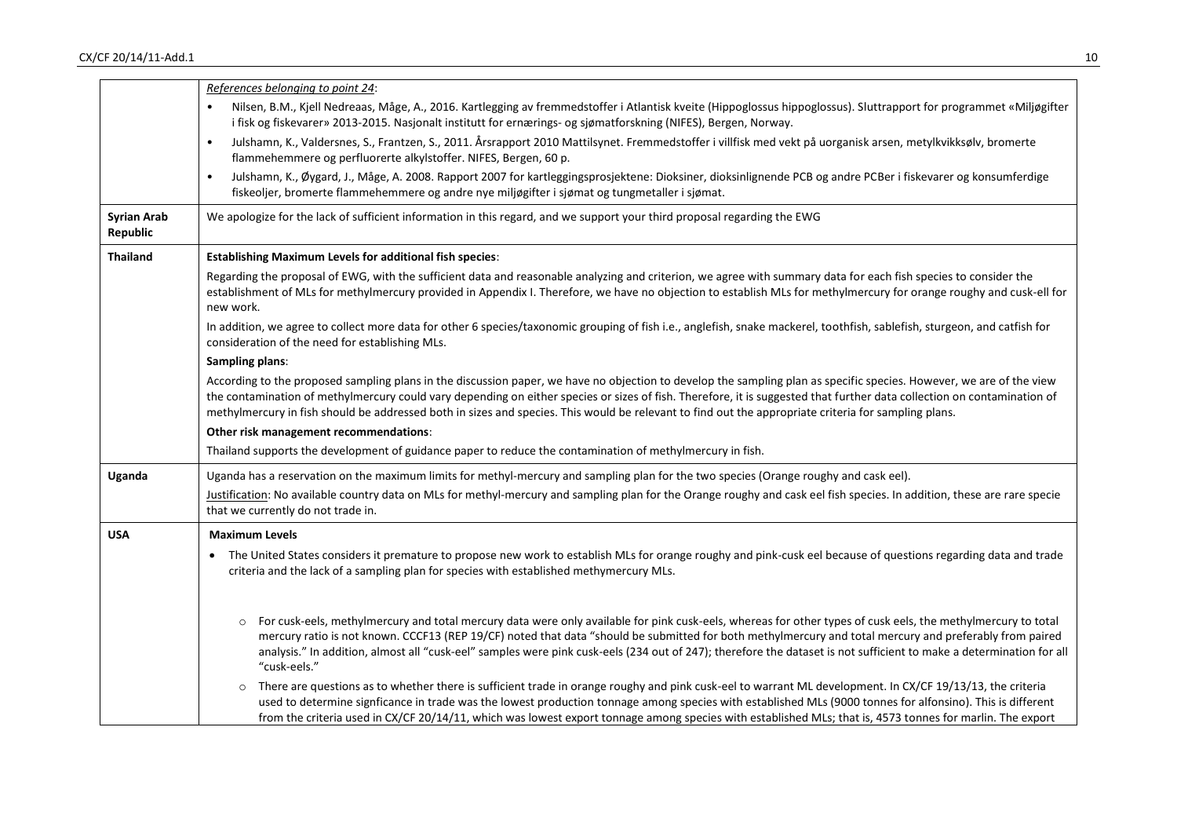|                                | References belonging to point 24:                                                                                                                                                                                                                                                                                                                                                                                                                                                                              |
|--------------------------------|----------------------------------------------------------------------------------------------------------------------------------------------------------------------------------------------------------------------------------------------------------------------------------------------------------------------------------------------------------------------------------------------------------------------------------------------------------------------------------------------------------------|
|                                | Nilsen, B.M., Kjell Nedreaas, Måge, A., 2016. Kartlegging av fremmedstoffer i Atlantisk kveite (Hippoglossus hippoglossus). Sluttrapport for programmet «Miljøgifter<br>i fisk og fiskevarer» 2013-2015. Nasjonalt institutt for ernærings- og sjømatforskning (NIFES), Bergen, Norway.                                                                                                                                                                                                                        |
|                                | Julshamn, K., Valdersnes, S., Frantzen, S., 2011. Årsrapport 2010 Mattilsynet. Fremmedstoffer i villfisk med vekt på uorganisk arsen, metylkvikksølv, bromerte<br>$\bullet$<br>flammehemmere og perfluorerte alkylstoffer. NIFES, Bergen, 60 p.                                                                                                                                                                                                                                                                |
|                                | Julshamn, K., Øygard, J., Måge, A. 2008. Rapport 2007 for kartleggingsprosjektene: Dioksiner, dioksinlignende PCB og andre PCBer i fiskevarer og konsumferdige<br>$\bullet$<br>fiskeoljer, bromerte flammehemmere og andre nye miljøgifter i sjømat og tungmetaller i sjømat.                                                                                                                                                                                                                                  |
| <b>Syrian Arab</b><br>Republic | We apologize for the lack of sufficient information in this regard, and we support your third proposal regarding the EWG                                                                                                                                                                                                                                                                                                                                                                                       |
| <b>Thailand</b>                | <b>Establishing Maximum Levels for additional fish species:</b>                                                                                                                                                                                                                                                                                                                                                                                                                                                |
|                                | Regarding the proposal of EWG, with the sufficient data and reasonable analyzing and criterion, we agree with summary data for each fish species to consider the<br>establishment of MLs for methylmercury provided in Appendix I. Therefore, we have no objection to establish MLs for methylmercury for orange roughy and cusk-ell for<br>new work.                                                                                                                                                          |
|                                | In addition, we agree to collect more data for other 6 species/taxonomic grouping of fish i.e., anglefish, snake mackerel, toothfish, sablefish, sturgeon, and catfish for<br>consideration of the need for establishing MLs.                                                                                                                                                                                                                                                                                  |
|                                | Sampling plans:                                                                                                                                                                                                                                                                                                                                                                                                                                                                                                |
|                                | According to the proposed sampling plans in the discussion paper, we have no objection to develop the sampling plan as specific species. However, we are of the view<br>the contamination of methylmercury could vary depending on either species or sizes of fish. Therefore, it is suggested that further data collection on contamination of<br>methylmercury in fish should be addressed both in sizes and species. This would be relevant to find out the appropriate criteria for sampling plans.        |
|                                | Other risk management recommendations:                                                                                                                                                                                                                                                                                                                                                                                                                                                                         |
|                                | Thailand supports the development of guidance paper to reduce the contamination of methylmercury in fish.                                                                                                                                                                                                                                                                                                                                                                                                      |
| <b>Uganda</b>                  | Uganda has a reservation on the maximum limits for methyl-mercury and sampling plan for the two species (Orange roughy and cask eel).                                                                                                                                                                                                                                                                                                                                                                          |
|                                | Justification: No available country data on MLs for methyl-mercury and sampling plan for the Orange roughy and cask eel fish species. In addition, these are rare specie<br>that we currently do not trade in.                                                                                                                                                                                                                                                                                                 |
| <b>USA</b>                     | <b>Maximum Levels</b>                                                                                                                                                                                                                                                                                                                                                                                                                                                                                          |
|                                | The United States considers it premature to propose new work to establish MLs for orange roughy and pink-cusk eel because of questions regarding data and trade<br>criteria and the lack of a sampling plan for species with established methymercury MLs.                                                                                                                                                                                                                                                     |
|                                | For cusk-eels, methylmercury and total mercury data were only available for pink cusk-eels, whereas for other types of cusk eels, the methylmercury to total<br>mercury ratio is not known. CCCF13 (REP 19/CF) noted that data "should be submitted for both methylmercury and total mercury and preferably from paired<br>analysis." In addition, almost all "cusk-eel" samples were pink cusk-eels (234 out of 247); therefore the dataset is not sufficient to make a determination for all<br>"cusk-eels." |
|                                | There are questions as to whether there is sufficient trade in orange roughy and pink cusk-eel to warrant ML development. In CX/CF 19/13/13, the criteria<br>$\circ$<br>used to determine signficance in trade was the lowest production tonnage among species with established MLs (9000 tonnes for alfonsino). This is different<br>from the criteria used in CX/CF 20/14/11, which was lowest export tonnage among species with established MLs; that is, 4573 tonnes for marlin. The export                |